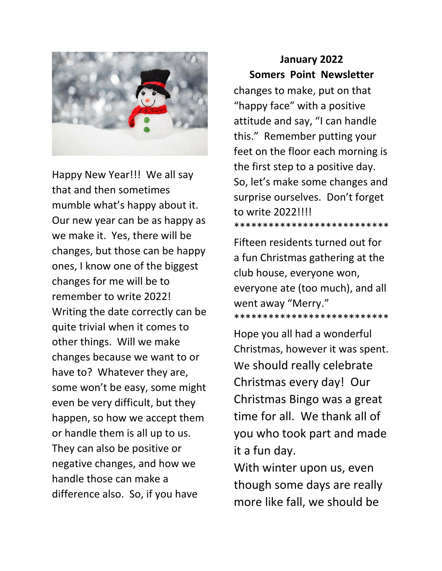

Happy New Year!!! We all say that and then sometimes mumble what's happy about it. Our new year can be as happy as we make it. Yes, there will be changes, but those can be happy ones, I know one of the biggest changes for me will be to remember to write 2022! Writing the date correctly can be quite trivial when it comes to other things. Will we make changes because we want to or have to? Whatever they are, some won't be easy, some might even be very difficult, but they happen, so how we accept them or handle them is all up to us. They can also be positive or negative changes, and how we handle those can make a difference also. So, if you have

## **January 2022 Somers Point Newsletter**

changes to make, put on that "happy face" with a positive attitude and say, "I can handle this." Remember putting your feet on the floor each morning is the first step to a positive day. So, let's make some changes and surprise ourselves. Don't forget to write 2022!!!! \*\*\*\*\*\*\*\*\*\*\*\*\*\*\*\*\*\*\*\*\*\*\*\*\*\*\*

Fifteen residents turned out for a fun Christmas gathering at the club house, everyone won, everyone ate (too much), and all went away "Merry." \*\*\*\*\*\*\*\*\*\*\*\*\*\*\*\*\*\*\*\*\*\*\*\*\*\*\*

Hope you all had a wonderful Christmas, however it was spent. We should really celebrate Christmas every day! Our Christmas Bingo was a great time for all. We thank all of you who took part and made it a fun day.

With winter upon us, even though some days are really more like fall, we should be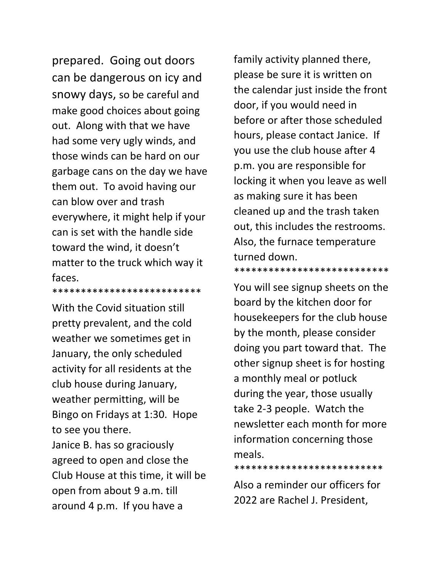prepared. Going out doors can be dangerous on icy and snowy days, so be careful and make good choices about going out. Along with that we have had some very ugly winds, and those winds can be hard on our garbage cans on the day we have them out. To avoid having our can blow over and trash everywhere, it might help if your can is set with the handle side toward the wind, it doesn't matter to the truck which way it faces.

With the Covid situation still pretty prevalent, and the cold weather we sometimes get in January, the only scheduled activity for all residents at the club house during January, weather permitting, will be Bingo on Fridays at 1:30. Hope to see you there. Janice B. has so graciously agreed to open and close the Club House at this time, it will be open from about 9 a.m. till around 4 p.m. If you have a

\*\*\*\*\*\*\*\*\*\*\*\*\*\*\*\*\*\*\*\*\*\*\*\*\*\*

family activity planned there, please be sure it is written on the calendar just inside the front door, if you would need in before or after those scheduled hours, please contact Janice. If you use the club house after 4 p.m. you are responsible for locking it when you leave as well as making sure it has been cleaned up and the trash taken out, this includes the restrooms. Also, the furnace temperature turned down.

You will see signup sheets on the board by the kitchen door for housekeepers for the club house by the month, please consider doing you part toward that. The other signup sheet is for hosting a monthly meal or potluck during the year, those usually take 2-3 people. Watch the newsletter each month for more information concerning those meals.

\*\*\*\*\*\*\*\*\*\*\*\*\*\*\*\*\*\*\*\*\*\*\*\*\*\*\*

Also a reminder our officers for 2022 are Rachel J. President,

\*\*\*\*\*\*\*\*\*\*\*\*\*\*\*\*\*\*\*\*\*\*\*\*\*\*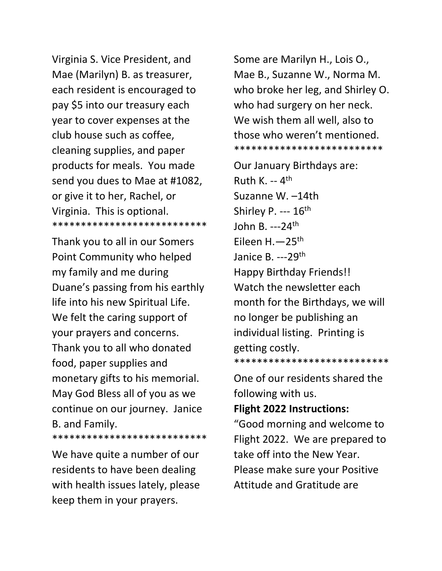Virginia S. Vice President, and Mae (Marilyn) B. as treasurer, each resident is encouraged to pay \$5 into our treasury each year to cover expenses at the club house such as coffee, cleaning supplies, and paper products for meals. You made send you dues to Mae at #1082, or give it to her, Rachel, or Virginia. This is optional. \*\*\*\*\*\*\*\*\*\*\*\*\*\*\*\*\*\*\*\*\*\*\*\*\*\*\*

Thank you to all in our Somers Point Community who helped my family and me during Duane's passing from his earthly life into his new Spiritual Life. We felt the caring support of your prayers and concerns. Thank you to all who donated food, paper supplies and monetary gifts to his memorial. May God Bless all of you as we continue on our journey. Janice B. and Family. \*\*\*\*\*\*\*\*\*\*\*\*\*\*\*\*\*\*\*\*\*\*\*\*\*\*\*

We have quite a number of our residents to have been dealing with health issues lately, please keep them in your prayers.

Some are Marilyn H., Lois O., Mae B., Suzanne W., Norma M. who broke her leg, and Shirley O. who had surgery on her neck. We wish them all well, also to those who weren't mentioned. \*\*\*\*\*\*\*\*\*\*\*\*\*\*\*\*\*\*\*\*\*\*\*\*\*\*

Our January Birthdays are: Ruth K. -- 4<sup>th</sup> Suzanne W. –14th Shirley P. ---  $16<sup>th</sup>$ John B. ---24th Eileen H.—25th Janice B. --- 29<sup>th</sup> Happy Birthday Friends!! Watch the newsletter each month for the Birthdays, we will no longer be publishing an individual listing. Printing is getting costly. \*\*\*\*\*\*\*\*\*\*\*\*\*\*\*\*\*\*\*\*\*\*\*\*\*\*\*

One of our residents shared the following with us.

## **Flight 2022 Instructions:**

"Good morning and welcome to Flight 2022. We are prepared to take off into the New Year. Please make sure your Positive Attitude and Gratitude are